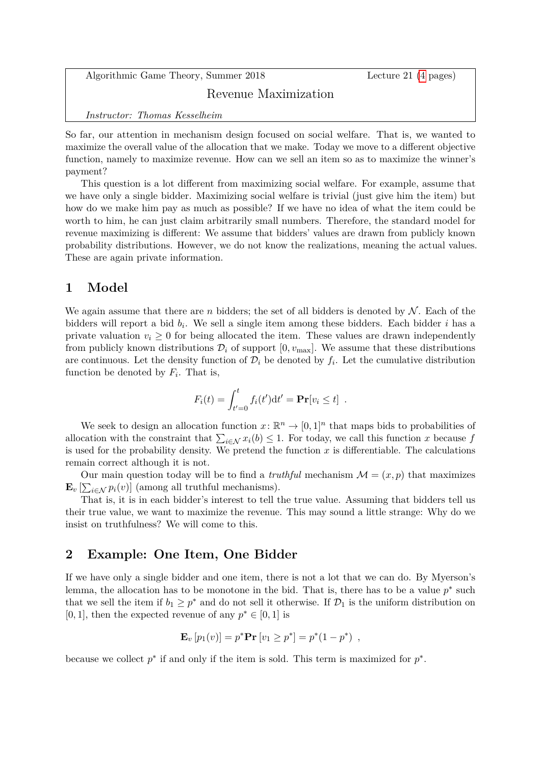Algorithmic Game Theory, Summer 2018 Lecture 21 [\(4](#page-3-0) pages)

## Revenue Maximization

*Instructor: Thomas Kesselheim*

So far, our attention in mechanism design focused on social welfare. That is, we wanted to maximize the overall value of the allocation that we make. Today we move to a different objective function, namely to maximize revenue. How can we sell an item so as to maximize the winner's payment?

This question is a lot different from maximizing social welfare. For example, assume that we have only a single bidder. Maximizing social welfare is trivial (just give him the item) but how do we make him pay as much as possible? If we have no idea of what the item could be worth to him, he can just claim arbitrarily small numbers. Therefore, the standard model for revenue maximizing is different: We assume that bidders' values are drawn from publicly known probability distributions. However, we do not know the realizations, meaning the actual values. These are again private information.

## **1 Model**

We again assume that there are *n* bidders; the set of all bidders is denoted by  $N$ . Each of the bidders will report a bid *b<sup>i</sup>* . We sell a single item among these bidders. Each bidder *i* has a private valuation  $v_i \geq 0$  for being allocated the item. These values are drawn independently from publicly known distributions  $\mathcal{D}_i$  of support  $[0, v_{\text{max}}]$ . We assume that these distributions are continuous. Let the density function of  $\mathcal{D}_i$  be denoted by  $f_i$ . Let the cumulative distribution function be denoted by  $F_i$ . That is,

$$
F_i(t) = \int_{t'=0}^t f_i(t') dt' = \mathbf{Pr}[v_i \le t] .
$$

We seek to design an allocation function  $x: \mathbb{R}^n \to [0,1]^n$  that maps bids to probabilities of allocation with the constraint that  $\sum_{i \in \mathcal{N}} x_i(b) \leq 1$ . For today, we call this function *x* because *f* is used for the probability density. We pretend the function  $x$  is differentiable. The calculations remain correct although it is not.

Our main question today will be to find a *truthful* mechanism  $\mathcal{M} = (x, p)$  that maximizes  $\mathbf{E}_v \left[ \sum_{i \in \mathcal{N}} p_i(v) \right]$  (among all truthful mechanisms).

That is, it is in each bidder's interest to tell the true value. Assuming that bidders tell us their true value, we want to maximize the revenue. This may sound a little strange: Why do we insist on truthfulness? We will come to this.

# **2 Example: One Item, One Bidder**

If we have only a single bidder and one item, there is not a lot that we can do. By Myerson's lemma, the allocation has to be monotone in the bid. That is, there has to be a value  $p^*$  such that we sell the item if  $b_1 \geq p^*$  and do not sell it otherwise. If  $\mathcal{D}_1$  is the uniform distribution on [0, 1], then the expected revenue of any  $p^* \in [0, 1]$  is

$$
\mathbf{E}_{v}[p_1(v)] = p^* \mathbf{Pr}[v_1 \ge p^*] = p^*(1 - p^*) ,
$$

because we collect  $p^*$  if and only if the item is sold. This term is maximized for  $p^*$ .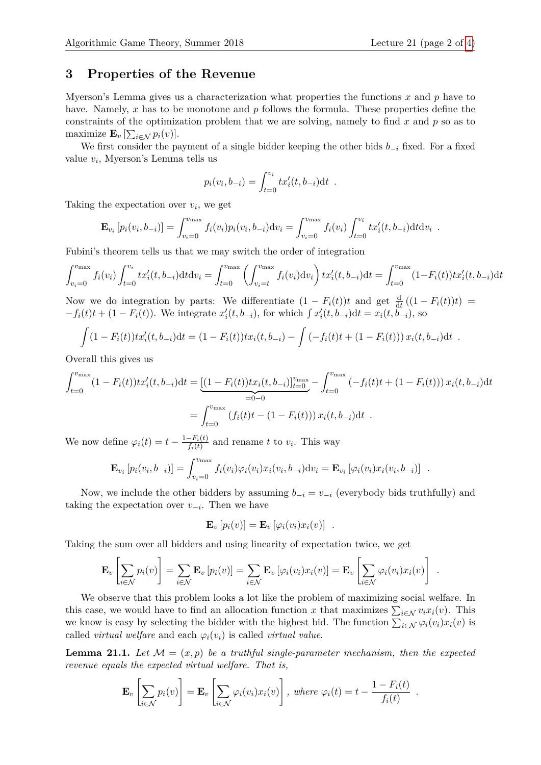#### **3 Properties of the Revenue**

Myerson's Lemma gives us a characterization what properties the functions *x* and *p* have to have. Namely, x has to be monotone and p follows the formula. These properties define the constraints of the optimization problem that we are solving, namely to find *x* and *p* so as to maximize  $\mathbf{E}_v \left[ \sum_{i \in \mathcal{N}} p_i(v) \right]$ .

We first consider the payment of a single bidder keeping the other bids  $b_{-i}$  fixed. For a fixed value *v<sup>i</sup>* , Myerson's Lemma tells us

$$
p_i(v_i, b_{-i}) = \int_{t=0}^{v_i} tx_i'(t, b_{-i}) dt .
$$

Taking the expectation over  $v_i$ , we get

$$
\mathbf{E}_{v_i} [p_i(v_i, b_{-i})] = \int_{v_i=0}^{v_{\text{max}}} f_i(v_i) p_i(v_i, b_{-i}) \, dv_i = \int_{v_i=0}^{v_{\text{max}}} f_i(v_i) \int_{t=0}^{v_i} t x'_i(t, b_{-i}) \, dt \, dv_i.
$$

Fubini's theorem tells us that we may switch the order of integration

$$
\int_{v_i=0}^{v_{\text{max}}} f_i(v_i) \int_{t=0}^{v_i} t x_i'(t, b_{-i}) dt dv_i = \int_{t=0}^{v_{\text{max}}} \left( \int_{v_i=t}^{v_{\text{max}}} f_i(v_i) dv_i \right) t x_i'(t, b_{-i}) dt = \int_{t=0}^{v_{\text{max}}} (1 - F_i(t)) t x_i'(t, b_{-i}) dt
$$

Now we do integration by parts: We differentiate  $(1 - F_i(t))t$  and get  $\frac{d}{dt}((1 - F_i(t))t)$  $-f_i(t)t + (1 - F_i(t))$ . We integrate  $x'_i(t, b_{-i})$ , for which  $\int x'_i(t, b_{-i}) dt = x_i(t, b_{-i})$ , so

$$
\int (1-F_i(t))tx_i'(t,b_{-i})dt = (1-F_i(t))tx_i(t,b_{-i}) - \int (-f_i(t)t + (1-F_i(t))) x_i(t,b_{-i})dt.
$$

Overall this gives us

$$
\int_{t=0}^{v_{\text{max}}} (1 - F_i(t)) t x_i'(t, b_{-i}) dt = \underbrace{[(1 - F_i(t)) t x_i(t, b_{-i})]_{t=0}^{v_{\text{max}}}}_{=0-0} - \int_{t=0}^{v_{\text{max}}} (-f_i(t) t + (1 - F_i(t))) x_i(t, b_{-i}) dt
$$
\n
$$
= \int_{t=0}^{v_{\text{max}}} (f_i(t) t - (1 - F_i(t))) x_i(t, b_{-i}) dt.
$$

We now define  $\varphi_i(t) = t - \frac{1 - F_i(t)}{f_i(t)}$  $\frac{f_i(t)}{f_i(t)}$  and rename *t* to *v*<sub>*i*</sub>. This way

$$
\mathbf{E}_{v_i} [p_i(v_i, b_{-i})] = \int_{v_i=0}^{v_{\text{max}}} f_i(v_i) \varphi_i(v_i) x_i(v_i, b_{-i}) \, dv_i = \mathbf{E}_{v_i} [\varphi_i(v_i) x_i(v_i, b_{-i})] .
$$

Now, we include the other bidders by assuming  $b_{-i} = v_{-i}$  (everybody bids truthfully) and taking the expectation over  $v_{-i}$ . Then we have

$$
\mathbf{E}_v[p_i(v)] = \mathbf{E}_v[\varphi_i(v_i)x_i(v)] .
$$

Taking the sum over all bidders and using linearity of expectation twice, we get

$$
\mathbf{E}_{v}\left[\sum_{i\in\mathcal{N}}p_{i}(v)\right]=\sum_{i\in\mathcal{N}}\mathbf{E}_{v}\left[p_{i}(v)\right]=\sum_{i\in\mathcal{N}}\mathbf{E}_{v}\left[\varphi_{i}(v_{i})x_{i}(v)\right]=\mathbf{E}_{v}\left[\sum_{i\in\mathcal{N}}\varphi_{i}(v_{i})x_{i}(v)\right].
$$

We observe that this problem looks a lot like the problem of maximizing social welfare. In this case, we would have to find an allocation function *x* that maximizes  $\sum_{i \in \mathcal{N}} v_i x_i(v)$ . This we know is easy by selecting the bidder with the highest bid. The function  $\sum_{i\in\mathcal{N}} \varphi_i(v_i) x_i(v)$  is called *virtual welfare* and each  $\varphi_i(v_i)$  is called *virtual value*.

<span id="page-1-0"></span>**Lemma 21.1.** Let  $\mathcal{M} = (x, p)$  be a truthful single-parameter mechanism, then the expected *revenue equals the expected virtual welfare. That is,*

$$
\mathbf{E}_{v}\left[\sum_{i\in\mathcal{N}}p_{i}(v)\right]=\mathbf{E}_{v}\left[\sum_{i\in\mathcal{N}}\varphi_{i}(v_{i})x_{i}(v)\right],\text{ where }\varphi_{i}(t)=t-\frac{1-F_{i}(t)}{f_{i}(t)}.
$$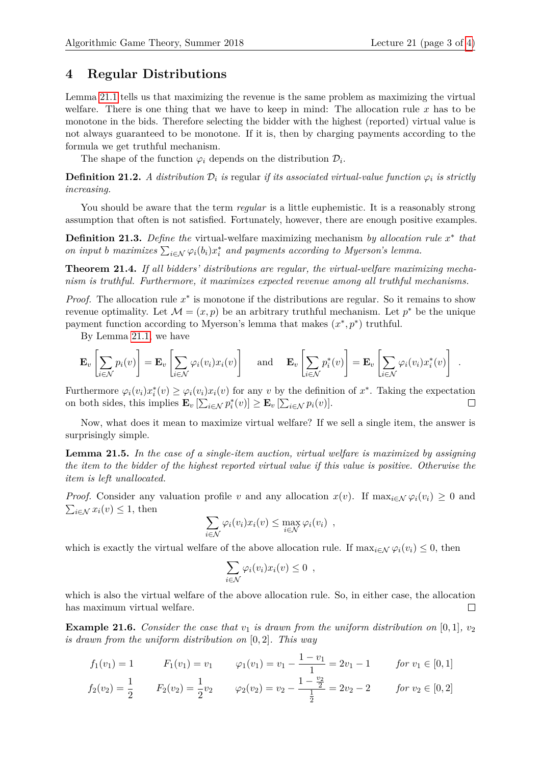### **4 Regular Distributions**

Lemma [21.1](#page-1-0) tells us that maximizing the revenue is the same problem as maximizing the virtual welfare. There is one thing that we have to keep in mind: The allocation rule *x* has to be monotone in the bids. Therefore selecting the bidder with the highest (reported) virtual value is not always guaranteed to be monotone. If it is, then by charging payments according to the formula we get truthful mechanism.

The shape of the function  $\varphi_i$  depends on the distribution  $\mathcal{D}_i$ .

**Definition 21.2.** *A distribution*  $\mathcal{D}_i$  *is* regular *if its associated virtual-value function*  $\varphi_i$  *is strictly increasing.*

You should be aware that the term *regular* is a little euphemistic. It is a reasonably strong assumption that often is not satisfied. Fortunately, however, there are enough positive examples.

**Definition 21.3.** Define the virtual-welfare maximizing mechanism by allocation rule  $x^*$  that *on input b maximizes*  $\sum_{i \in \mathcal{N}} \varphi_i(b_i) x_i^*$  and payments according to Myerson's lemma.

**Theorem 21.4.** *If all bidders' distributions are regular, the virtual-welfare maximizing mechanism is truthful. Furthermore, it maximizes expected revenue among all truthful mechanisms.*

*Proof.* The allocation rule  $x^*$  is monotone if the distributions are regular. So it remains to show revenue optimality. Let  $\mathcal{M} = (x, p)$  be an arbitrary truthful mechanism. Let  $p^*$  be the unique payment function according to Myerson's lemma that makes  $(x^*, p^*)$  truthful.

By Lemma [21.1,](#page-1-0) we have

$$
\mathbf{E}_{v}\left[\sum_{i\in\mathcal{N}}p_{i}(v)\right] = \mathbf{E}_{v}\left[\sum_{i\in\mathcal{N}}\varphi_{i}(v_{i})x_{i}(v)\right] \quad \text{and} \quad \mathbf{E}_{v}\left[\sum_{i\in\mathcal{N}}p_{i}^{*}(v)\right] = \mathbf{E}_{v}\left[\sum_{i\in\mathcal{N}}\varphi_{i}(v_{i})x_{i}^{*}(v)\right] .
$$

Furthermore  $\varphi_i(v_i)x_i^*(v) \geq \varphi_i(v_i)x_i(v)$  for any *v* by the definition of  $x^*$ . Taking the expectation on both sides, this implies  $\mathbf{E}_v \left[ \sum_{i \in \mathcal{N}} p_i^*(v) \right] \ge \mathbf{E}_v \left[ \sum_{i \in \mathcal{N}} p_i(v) \right]$ .  $\Box$ 

Now, what does it mean to maximize virtual welfare? If we sell a single item, the answer is surprisingly simple.

**Lemma 21.5.** *In the case of a single-item auction, virtual welfare is maximized by assigning the item to the bidder of the highest reported virtual value if this value is positive. Otherwise the item is left unallocated.*

*Proof.* Consider any valuation profile *v* and any allocation  $x(v)$ . If  $\max_{i \in \mathcal{N}} \varphi_i(v_i) \geq 0$  and  $\sum_{i \in \mathcal{N}} x_i(v) \leq 1$ , then

$$
\sum_{i \in \mathcal{N}} \varphi_i(v_i) x_i(v) \leq \max_{i \in \mathcal{N}} \varphi_i(v_i) ,
$$

which is exactly the virtual welfare of the above allocation rule. If  $\max_{i \in \mathcal{N}} \varphi_i(v_i) \leq 0$ , then

$$
\sum_{i\in\mathcal{N}}\varphi_i(v_i)x_i(v)\leq 0,
$$

which is also the virtual welfare of the above allocation rule. So, in either case, the allocation has maximum virtual welfare.  $\Box$ 

**Example 21.6.** *Consider the case that*  $v_1$  *is drawn from the uniform distribution on* [0, 1]*,*  $v_2$ *is drawn from the uniform distribution on* [0*,* 2]*. This way*

$$
f_1(v_1) = 1 \t F_1(v_1) = v_1 \t \varphi_1(v_1) = v_1 - \frac{1 - v_1}{1} = 2v_1 - 1 \t \text{for } v_1 \in [0, 1]
$$
  

$$
f_2(v_2) = \frac{1}{2} \t F_2(v_2) = \frac{1}{2}v_2 \t \varphi_2(v_2) = v_2 - \frac{1 - \frac{v_2}{2}}{\frac{1}{2}} = 2v_2 - 2 \t \text{for } v_2 \in [0, 2]
$$

2